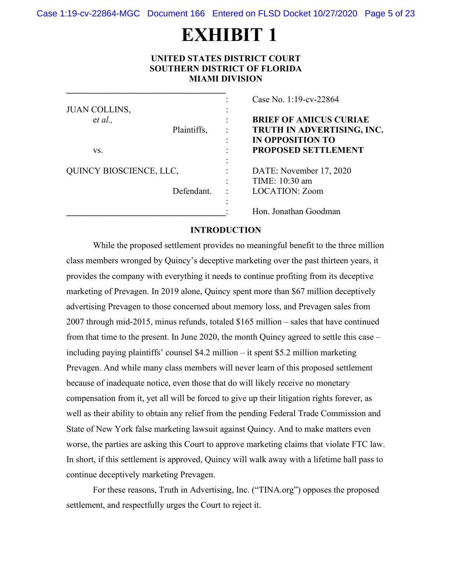Case 1:19-cv-22864-MGC Document 166 Entered on FLSD Docket 10/27/2020 Page 5 of 23

# **EXHIBIT 1**

#### **UNITED STATES DISTRICT COURT SOUTHERN DISTRICT OF FLORIDA MIAMI DIVISION**

**\_\_\_\_\_\_\_\_\_\_\_\_\_\_\_\_\_\_\_\_\_\_\_\_\_\_\_\_\_\_\_\_\_\_\_\_** 

|                         |           | Case No. 1:19-cv-22864        |
|-------------------------|-----------|-------------------------------|
| JUAN COLLINS,           | ۰<br>۰    |                               |
| et al.,                 |           | <b>BRIEF OF AMICUS CURIAE</b> |
| Plaintiffs,             |           | TRUTH IN ADVERTISING, INC.    |
|                         | ٠         | <b>IN OPPOSITION TO</b>       |
| VS.                     |           | <b>PROPOSED SETTLEMENT</b>    |
|                         |           |                               |
| QUINCY BIOSCIENCE, LLC, | $\bullet$ | DATE: November 17, 2020       |
|                         | $\bullet$ | TIME: 10:30 am                |
| Defendant.              |           | <b>LOCATION: Zoom</b>         |
|                         |           |                               |
|                         |           | Hon. Jonathan Goodman         |

#### **INTRODUCTION**

While the proposed settlement provides no meaningful benefit to the three million class members wronged by Quincy's deceptive marketing over the past thirteen years, it provides the company with everything it needs to continue profiting from its deceptive marketing of Prevagen. In 2019 alone, Quincy spent more than \$67 million deceptively advertising Prevagen to those concerned about memory loss, and Prevagen sales from 2007 through mid-2015, minus refunds, totaled \$165 million – sales that have continued from that time to the present. In June 2020, the month Quincy agreed to settle this case – including paying plaintiffs' counsel \$4.2 million – it spent \$5.2 million marketing Prevagen. And while many class members will never learn of this proposed settlement because of inadequate notice, even those that do will likely receive no monetary compensation from it, yet all will be forced to give up their litigation rights forever, as well as their ability to obtain any relief from the pending Federal Trade Commission and State of New York false marketing lawsuit against Quincy. And to make matters even worse, the parties are asking this Court to approve marketing claims that violate FTC law. In short, if this settlement is approved, Quincy will walk away with a lifetime hall pass to continue deceptively marketing Prevagen.

For these reasons, Truth in Advertising, Inc. ("TINA.org") opposes the proposed settlement, and respectfully urges the Court to reject it.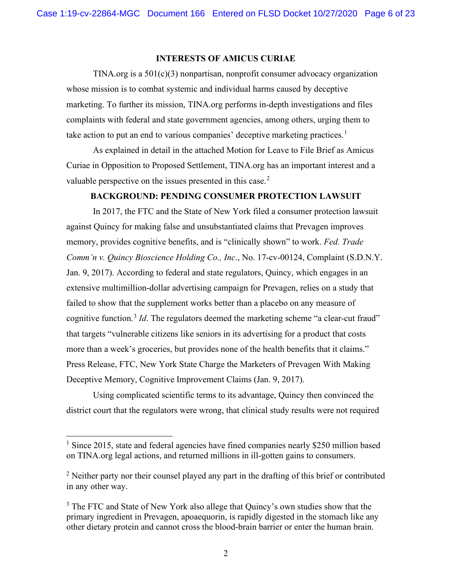#### **INTERESTS OF AMICUS CURIAE**

TINA.org is a  $501(c)(3)$  nonpartisan, nonprofit consumer advocacy organization whose mission is to combat systemic and individual harms caused by deceptive marketing. To further its mission, TINA.org performs in-depth investigations and files complaints with federal and state government agencies, among others, urging them to take action to put an end to various companies' deceptive marketing practices.<sup>1</sup>

As explained in detail in the attached Motion for Leave to File Brief as Amicus Curiae in Opposition to Proposed Settlement, TINA.org has an important interest and a valuable perspective on the issues presented in this case. $<sup>2</sup>$ </sup>

#### **BACKGROUND: PENDING CONSUMER PROTECTION LAWSUIT**

In 2017, the FTC and the State of New York filed a consumer protection lawsuit against Quincy for making false and unsubstantiated claims that Prevagen improves memory, provides cognitive benefits, and is "clinically shown" to work. *Fed. Trade Comm'n v. Quincy Bioscience Holding Co., Inc*., No. 17-cv-00124, Complaint (S.D.N.Y. Jan. 9, 2017). According to federal and state regulators, Quincy, which engages in an extensive multimillion-dollar advertising campaign for Prevagen, relies on a study that failed to show that the supplement works better than a placebo on any measure of cognitive function.<sup>3</sup> *Id*. The regulators deemed the marketing scheme "a clear-cut fraud" that targets "vulnerable citizens like seniors in its advertising for a product that costs more than a week's groceries, but provides none of the health benefits that it claims." Press Release, FTC, New York State Charge the Marketers of Prevagen With Making Deceptive Memory, Cognitive Improvement Claims (Jan. 9, 2017).

Using complicated scientific terms to its advantage, Quincy then convinced the district court that the regulators were wrong, that clinical study results were not required

<sup>&</sup>lt;sup>1</sup> Since 2015, state and federal agencies have fined companies nearly \$250 million based on TINA.org legal actions, and returned millions in ill-gotten gains to consumers.

 $2$  Neither party nor their counsel played any part in the drafting of this brief or contributed in any other way.

<sup>&</sup>lt;sup>3</sup> The FTC and State of New York also allege that Quincy's own studies show that the primary ingredient in Prevagen, apoaequorin, is rapidly digested in the stomach like any other dietary protein and cannot cross the blood-brain barrier or enter the human brain.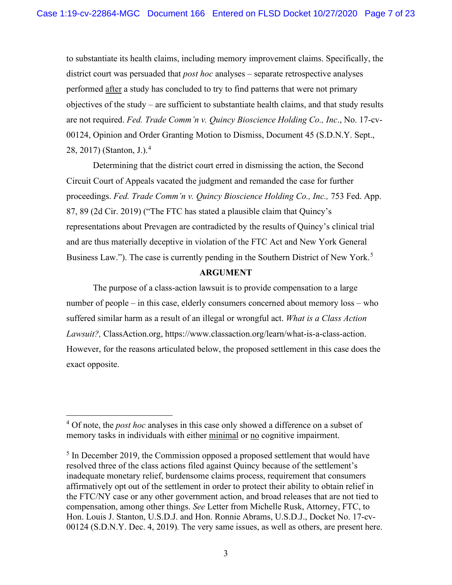to substantiate its health claims, including memory improvement claims. Specifically, the district court was persuaded that *post hoc* analyses – separate retrospective analyses performed after a study has concluded to try to find patterns that were not primary objectives of the study – are sufficient to substantiate health claims, and that study results are not required. *Fed. Trade Comm'n v. Quincy Bioscience Holding Co., Inc*., No. 17-cv-00124, Opinion and Order Granting Motion to Dismiss, Document 45 (S.D.N.Y. Sept., 28, 2017) (Stanton, J.).<sup>4</sup>

Determining that the district court erred in dismissing the action, the Second Circuit Court of Appeals vacated the judgment and remanded the case for further proceedings. *Fed. Trade Comm'n v. Quincy Bioscience Holding Co., Inc., 753 Fed. App.* 87, 89 (2d Cir. 2019) ("The FTC has stated a plausible claim that Quincy's representations about Prevagen are contradicted by the results of Quincy's clinical trial and are thus materially deceptive in violation of the FTC Act and New York General Business Law."). The case is currently pending in the Southern District of New York.<sup>5</sup>

#### **ARGUMENT**

The purpose of a class-action lawsuit is to provide compensation to a large number of people – in this case, elderly consumers concerned about memory loss – who suffered similar harm as a result of an illegal or wrongful act. *What is a Class Action Lawsuit?,* ClassAction.org, https://www.classaction.org/learn/what-is-a-class-action. However, for the reasons articulated below, the proposed settlement in this case does the exact opposite.

<sup>&</sup>lt;sup>4</sup> Of note, the *post hoc* analyses in this case only showed a difference on a subset of memory tasks in individuals with either minimal or no cognitive impairment.

 $<sup>5</sup>$  In December 2019, the Commission opposed a proposed settlement that would have</sup> resolved three of the class actions filed against Quincy because of the settlement's inadequate monetary relief, burdensome claims process, requirement that consumers affirmatively opt out of the settlement in order to protect their ability to obtain relief in the FTC/NY case or any other government action, and broad releases that are not tied to compensation, among other things. *See* Letter from Michelle Rusk, Attorney, FTC, to Hon. Louis J. Stanton, U.S.D.J. and Hon. Ronnie Abrams, U.S.D.J., Docket No. 17-cv-00124 (S.D.N.Y. Dec. 4, 2019)*.* The very same issues, as well as others, are present here.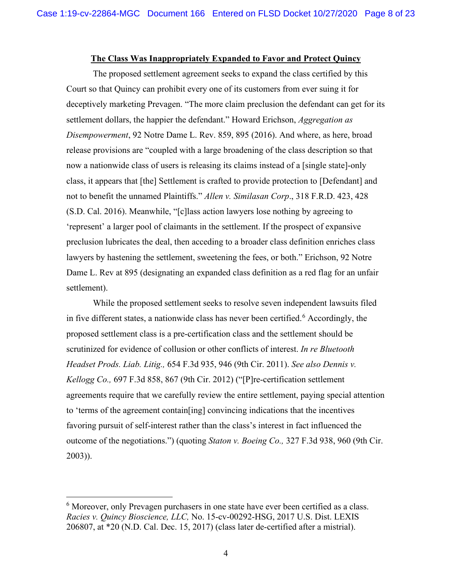# **The Class Was Inappropriately Expanded to Favor and Protect Quincy**

The proposed settlement agreement seeks to expand the class certified by this Court so that Quincy can prohibit every one of its customers from ever suing it for deceptively marketing Prevagen. "The more claim preclusion the defendant can get for its settlement dollars, the happier the defendant." Howard Erichson, *Aggregation as Disempowerment*, 92 Notre Dame L. Rev. 859, 895 (2016). And where, as here, broad release provisions are "coupled with a large broadening of the class description so that now a nationwide class of users is releasing its claims instead of a [single state]-only class, it appears that [the] Settlement is crafted to provide protection to [Defendant] and not to benefit the unnamed Plaintiffs." *Allen v. Similasan Corp*., 318 F.R.D. 423, 428 (S.D. Cal. 2016). Meanwhile, "[c]lass action lawyers lose nothing by agreeing to 'represent' a larger pool of claimants in the settlement. If the prospect of expansive preclusion lubricates the deal, then acceding to a broader class definition enriches class lawyers by hastening the settlement, sweetening the fees, or both." Erichson, 92 Notre Dame L. Rev at 895 (designating an expanded class definition as a red flag for an unfair settlement).

While the proposed settlement seeks to resolve seven independent lawsuits filed in five different states, a nationwide class has never been certified.<sup>6</sup> Accordingly, the proposed settlement class is a pre-certification class and the settlement should be scrutinized for evidence of collusion or other conflicts of interest. *In re Bluetooth Headset Prods. Liab. Litig.,* 654 F.3d 935, 946 (9th Cir. 2011). *See also Dennis v. Kellogg Co.,* 697 F.3d 858, 867 (9th Cir. 2012) ("[P]re-certification settlement agreements require that we carefully review the entire settlement, paying special attention to 'terms of the agreement contain[ing] convincing indications that the incentives favoring pursuit of self-interest rather than the class's interest in fact influenced the outcome of the negotiations.") (quoting *Staton v. Boeing Co.,* 327 F.3d 938, 960 (9th Cir. 2003)).

 $6$  Moreover, only Prevagen purchasers in one state have ever been certified as a class. *Racies v. Quincy Bioscience, LLC,* No. 15-cv-00292-HSG, 2017 U.S. Dist. LEXIS 206807, at \*20 (N.D. Cal. Dec. 15, 2017) (class later de-certified after a mistrial).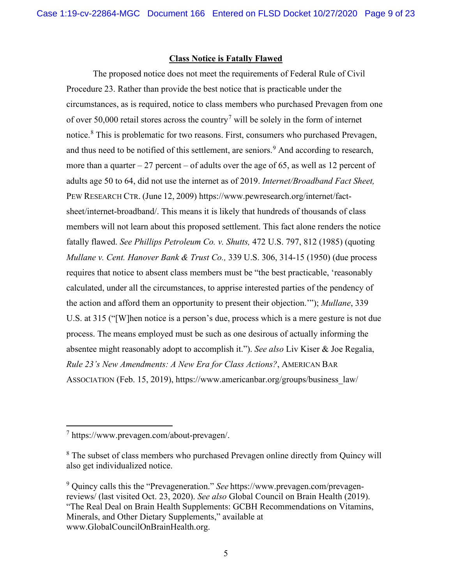#### **Class Notice is Fatally Flawed**

The proposed notice does not meet the requirements of Federal Rule of Civil Procedure 23. Rather than provide the best notice that is practicable under the circumstances, as is required, notice to class members who purchased Prevagen from one of over 50,000 retail stores across the country<sup>7</sup> will be solely in the form of internet notice.<sup>8</sup> This is problematic for two reasons. First, consumers who purchased Prevagen, and thus need to be notified of this settlement, are seniors.<sup>9</sup> And according to research, more than a quarter  $-27$  percent  $-$  of adults over the age of 65, as well as 12 percent of adults age 50 to 64, did not use the internet as of 2019. *Internet/Broadband Fact Sheet,* PEW RESEARCH CTR. (June 12, 2009) https://www.pewresearch.org/internet/factsheet/internet-broadband/. This means it is likely that hundreds of thousands of class members will not learn about this proposed settlement. This fact alone renders the notice fatally flawed. *See Phillips Petroleum Co. v. Shutts,* 472 U.S. 797, 812 (1985) (quoting *Mullane v. Cent. Hanover Bank & Trust Co.,* 339 U.S. 306, 314-15 (1950) (due process requires that notice to absent class members must be "the best practicable, 'reasonably calculated, under all the circumstances, to apprise interested parties of the pendency of the action and afford them an opportunity to present their objection.'"); *Mullane*, 339 U.S. at 315 ("[W]hen notice is a person's due, process which is a mere gesture is not due process. The means employed must be such as one desirous of actually informing the absentee might reasonably adopt to accomplish it."). *See also* Liv Kiser & Joe Regalia, *Rule 23's New Amendments: A New Era for Class Actions?*, AMERICAN BAR ASSOCIATION (Feb. 15, 2019), https://www.americanbar.org/groups/business\_law/

<sup>7</sup> https://www.prevagen.com/about-prevagen/.

<sup>&</sup>lt;sup>8</sup> The subset of class members who purchased Prevagen online directly from Quincy will also get individualized notice.

<sup>9</sup> Quincy calls this the "Prevageneration." *See* https://www.prevagen.com/prevagenreviews/ (last visited Oct. 23, 2020). *See also* Global Council on Brain Health (2019). "The Real Deal on Brain Health Supplements: GCBH Recommendations on Vitamins, Minerals, and Other Dietary Supplements," available at www.GlobalCouncilOnBrainHealth.org.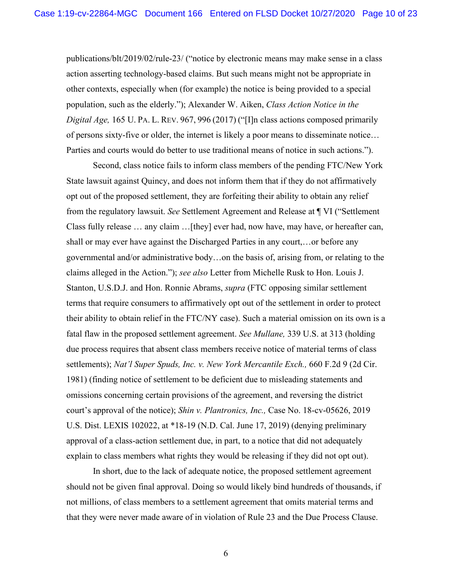publications/blt/2019/02/rule-23/ ("notice by electronic means may make sense in a class action asserting technology-based claims. But such means might not be appropriate in other contexts, especially when (for example) the notice is being provided to a special population, such as the elderly."); Alexander W. Aiken, *Class Action Notice in the Digital Age,* 165 U. PA. L. REV. 967, 996 (2017) ("[I]n class actions composed primarily of persons sixty-five or older, the internet is likely a poor means to disseminate notice… Parties and courts would do better to use traditional means of notice in such actions.").

Second, class notice fails to inform class members of the pending FTC/New York State lawsuit against Quincy, and does not inform them that if they do not affirmatively opt out of the proposed settlement, they are forfeiting their ability to obtain any relief from the regulatory lawsuit. *See* Settlement Agreement and Release at ¶ VI ("Settlement Class fully release … any claim …[they] ever had, now have, may have, or hereafter can, shall or may ever have against the Discharged Parties in any court,…or before any governmental and/or administrative body…on the basis of, arising from, or relating to the claims alleged in the Action."); *see also* Letter from Michelle Rusk to Hon. Louis J. Stanton, U.S.D.J. and Hon. Ronnie Abrams, *supra* (FTC opposing similar settlement terms that require consumers to affirmatively opt out of the settlement in order to protect their ability to obtain relief in the FTC/NY case). Such a material omission on its own is a fatal flaw in the proposed settlement agreement. *See Mullane,* 339 U.S. at 313 (holding due process requires that absent class members receive notice of material terms of class settlements); *Nat'l Super Spuds, Inc. v. New York Mercantile Exch.,* 660 F.2d 9 (2d Cir. 1981) (finding notice of settlement to be deficient due to misleading statements and omissions concerning certain provisions of the agreement, and reversing the district court's approval of the notice); *Shin v. Plantronics, Inc.,* Case No. 18-cv-05626, 2019 U.S. Dist. LEXIS 102022, at \*18-19 (N.D. Cal. June 17, 2019) (denying preliminary approval of a class-action settlement due, in part, to a notice that did not adequately explain to class members what rights they would be releasing if they did not opt out).

In short, due to the lack of adequate notice, the proposed settlement agreement should not be given final approval. Doing so would likely bind hundreds of thousands, if not millions, of class members to a settlement agreement that omits material terms and that they were never made aware of in violation of Rule 23 and the Due Process Clause.

6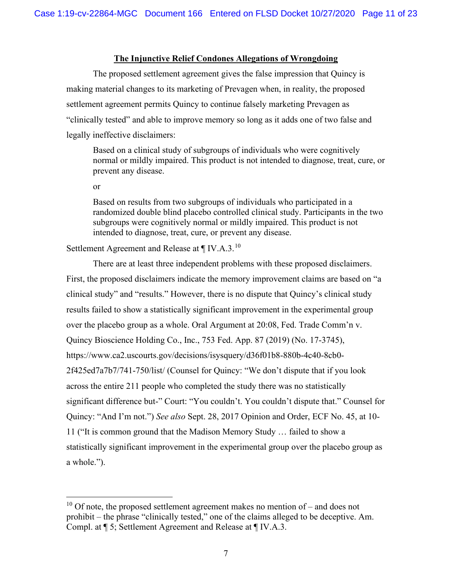#### **The Injunctive Relief Condones Allegations of Wrongdoing**

The proposed settlement agreement gives the false impression that Quincy is making material changes to its marketing of Prevagen when, in reality, the proposed settlement agreement permits Quincy to continue falsely marketing Prevagen as "clinically tested" and able to improve memory so long as it adds one of two false and legally ineffective disclaimers:

Based on a clinical study of subgroups of individuals who were cognitively normal or mildly impaired. This product is not intended to diagnose, treat, cure, or prevent any disease.

or

Based on results from two subgroups of individuals who participated in a randomized double blind placebo controlled clinical study. Participants in the two subgroups were cognitively normal or mildly impaired. This product is not intended to diagnose, treat, cure, or prevent any disease.

Settlement Agreement and Release at  $\P$  IV.A.3.<sup>10</sup>

There are at least three independent problems with these proposed disclaimers. First, the proposed disclaimers indicate the memory improvement claims are based on "a clinical study" and "results." However, there is no dispute that Quincy's clinical study results failed to show a statistically significant improvement in the experimental group over the placebo group as a whole. Oral Argument at 20:08, Fed. Trade Comm'n v. Quincy Bioscience Holding Co., Inc., 753 Fed. App. 87 (2019) (No. 17-3745), https://www.ca2.uscourts.gov/decisions/isysquery/d36f01b8-880b-4c40-8cb0- 2f425ed7a7b7/741-750/list/ (Counsel for Quincy: "We don't dispute that if you look across the entire 211 people who completed the study there was no statistically significant difference but-" Court: "You couldn't. You couldn't dispute that." Counsel for Quincy: "And I'm not.") *See also* Sept. 28, 2017 Opinion and Order, ECF No. 45, at 10- 11 ("It is common ground that the Madison Memory Study … failed to show a statistically significant improvement in the experimental group over the placebo group as a whole.").

 $10$  Of note, the proposed settlement agreement makes no mention of – and does not prohibit – the phrase "clinically tested," one of the claims alleged to be deceptive. Am. Compl. at ¶ 5; Settlement Agreement and Release at ¶ IV.A.3.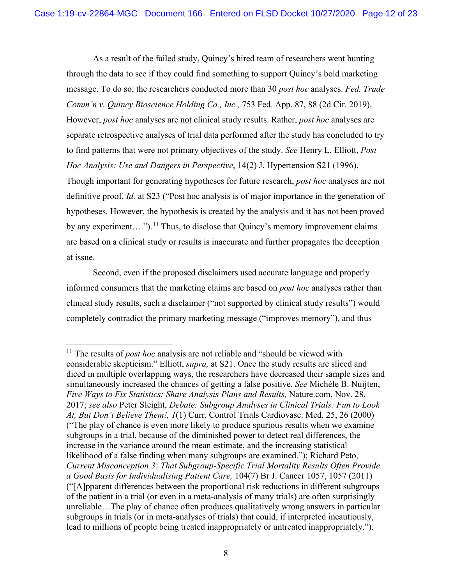As a result of the failed study, Quincy's hired team of researchers went hunting through the data to see if they could find something to support Quincy's bold marketing message. To do so, the researchers conducted more than 30 *post hoc* analyses. *Fed. Trade Comm'n v. Quincy Bioscience Holding Co., Inc.,* 753 Fed. App. 87, 88 (2d Cir. 2019). However, *post hoc* analyses are not clinical study results. Rather, *post hoc* analyses are separate retrospective analyses of trial data performed after the study has concluded to try to find patterns that were not primary objectives of the study. *See* Henry L. Elliott, *Post Hoc Analysis: Use and Dangers in Perspective*, 14(2) J. Hypertension S21 (1996). Though important for generating hypotheses for future research, *post hoc* analyses are not definitive proof. *Id.* at S23 ("Post hoc analysis is of major importance in the generation of hypotheses. However, the hypothesis is created by the analysis and it has not been proved by any experiment....").<sup>11</sup> Thus, to disclose that Quincy's memory improvement claims are based on a clinical study or results is inaccurate and further propagates the deception at issue.

Second, even if the proposed disclaimers used accurate language and properly informed consumers that the marketing claims are based on *post hoc* analyses rather than clinical study results, such a disclaimer ("not supported by clinical study results") would completely contradict the primary marketing message ("improves memory"), and thus

<sup>&</sup>lt;sup>11</sup> The results of *post hoc* analysis are not reliable and "should be viewed with considerable skepticism." Elliott, *supra,* at S21. Once the study results are sliced and diced in multiple overlapping ways, the researchers have decreased their sample sizes and simultaneously increased the chances of getting a false positive. *See* Michèle B. Nuijten, *Five Ways to Fix Statistics: Share Analysis Plans and Results,* Nature.com, Nov. 28, 2017; *see also* Peter Sleight, *Debate: Subgroup Analyses in Clinical Trials: Fun to Look At, But Don't Believe Them!, 1*(1) Curr. Control Trials Cardiovasc. Med. 25, 26 (2000) ("The play of chance is even more likely to produce spurious results when we examine subgroups in a trial, because of the diminished power to detect real differences, the increase in the variance around the mean estimate, and the increasing statistical likelihood of a false finding when many subgroups are examined."); Richard Peto, *Current Misconception 3: That Subgroup-Specific Trial Mortality Results Often Provide a Good Basis for Individualising Patient Care,* 104(7) Br J. Cancer 1057, 1057 (2011) ("[A]pparent differences between the proportional risk reductions in different subgroups of the patient in a trial (or even in a meta-analysis of many trials) are often surprisingly unreliable…The play of chance often produces qualitatively wrong answers in particular subgroups in trials (or in meta-analyses of trials) that could, if interpreted incautiously, lead to millions of people being treated inappropriately or untreated inappropriately.").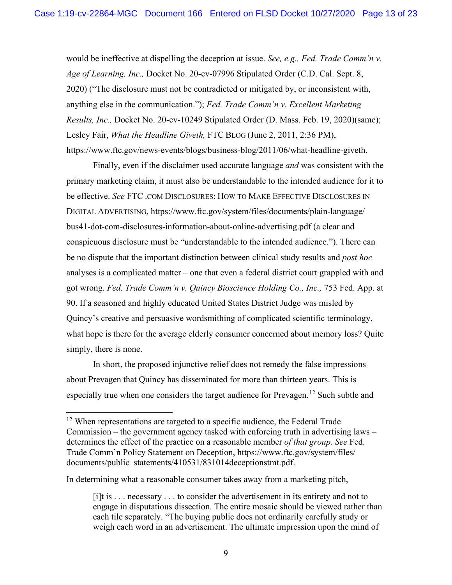would be ineffective at dispelling the deception at issue. *See, e.g., Fed. Trade Comm'n v. Age of Learning, Inc.,* Docket No. 20-cv-07996 Stipulated Order (C.D. Cal. Sept. 8, 2020) ("The disclosure must not be contradicted or mitigated by, or inconsistent with, anything else in the communication."); *Fed. Trade Comm'n v. Excellent Marketing Results, Inc.,* Docket No. 20-cv-10249 Stipulated Order (D. Mass. Feb. 19, 2020)(same); Lesley Fair, *What the Headline Giveth,* FTC BLOG (June 2, 2011, 2:36 PM), https://www.ftc.gov/news-events/blogs/business-blog/2011/06/what-headline-giveth.

Finally, even if the disclaimer used accurate language *and* was consistent with the primary marketing claim, it must also be understandable to the intended audience for it to be effective. *See* FTC .COM DISCLOSURES: HOW TO MAKE EFFECTIVE DISCLOSURES IN DIGITAL ADVERTISING, https://www.ftc.gov/system/files/documents/plain-language/ bus41-dot-com-disclosures-information-about-online-advertising.pdf (a clear and conspicuous disclosure must be "understandable to the intended audience."). There can be no dispute that the important distinction between clinical study results and *post hoc*  analyses is a complicated matter – one that even a federal district court grappled with and got wrong. Fed. Trade Comm'n v. Quincy Bioscience Holding Co., Inc., 753 Fed. App. at 90. If a seasoned and highly educated United States District Judge was misled by Quincy's creative and persuasive wordsmithing of complicated scientific terminology, what hope is there for the average elderly consumer concerned about memory loss? Quite simply, there is none.

In short, the proposed injunctive relief does not remedy the false impressions about Prevagen that Quincy has disseminated for more than thirteen years. This is especially true when one considers the target audience for Prevagen.<sup>12</sup> Such subtle and

In determining what a reasonable consumer takes away from a marketing pitch,

 $12$  When representations are targeted to a specific audience, the Federal Trade Commission – the government agency tasked with enforcing truth in advertising laws – determines the effect of the practice on a reasonable member *of that group. See* Fed. Trade Comm'n Policy Statement on Deception, https://www.ftc.gov/system/files/ documents/public\_statements/410531/831014deceptionstmt.pdf.

<sup>[</sup>i]t is . . . necessary . . . to consider the advertisement in its entirety and not to engage in disputatious dissection. The entire mosaic should be viewed rather than each tile separately. "The buying public does not ordinarily carefully study or weigh each word in an advertisement. The ultimate impression upon the mind of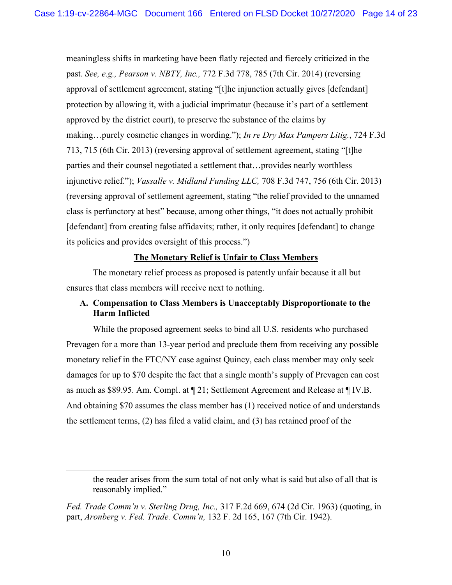meaningless shifts in marketing have been flatly rejected and fiercely criticized in the past. *See, e.g., Pearson v. NBTY, Inc.,* 772 F.3d 778, 785 (7th Cir. 2014) (reversing approval of settlement agreement, stating "[t]he injunction actually gives [defendant] protection by allowing it, with a judicial imprimatur (because it's part of a settlement approved by the district court), to preserve the substance of the claims by making…purely cosmetic changes in wording."); *In re Dry Max Pampers Litig.*, 724 F.3d 713, 715 (6th Cir. 2013) (reversing approval of settlement agreement, stating "[t]he parties and their counsel negotiated a settlement that…provides nearly worthless injunctive relief."); *Vassalle v. Midland Funding LLC,* 708 F.3d 747, 756 (6th Cir. 2013) (reversing approval of settlement agreement, stating "the relief provided to the unnamed class is perfunctory at best" because, among other things, "it does not actually prohibit [defendant] from creating false affidavits; rather, it only requires [defendant] to change its policies and provides oversight of this process.")

#### **The Monetary Relief is Unfair to Class Members**

The monetary relief process as proposed is patently unfair because it all but ensures that class members will receive next to nothing.

# **A. Compensation to Class Members is Unacceptably Disproportionate to the Harm Inflicted**

While the proposed agreement seeks to bind all U.S. residents who purchased Prevagen for a more than 13-year period and preclude them from receiving any possible monetary relief in the FTC/NY case against Quincy, each class member may only seek damages for up to \$70 despite the fact that a single month's supply of Prevagen can cost as much as \$89.95. Am. Compl. at ¶ 21; Settlement Agreement and Release at ¶ IV.B. And obtaining \$70 assumes the class member has (1) received notice of and understands the settlement terms, (2) has filed a valid claim, and (3) has retained proof of the

the reader arises from the sum total of not only what is said but also of all that is reasonably implied."

*Fed. Trade Comm'n v. Sterling Drug, Inc.,* 317 F.2d 669, 674 (2d Cir. 1963) (quoting, in part, *Aronberg v. Fed. Trade. Comm'n,* 132 F. 2d 165, 167 (7th Cir. 1942).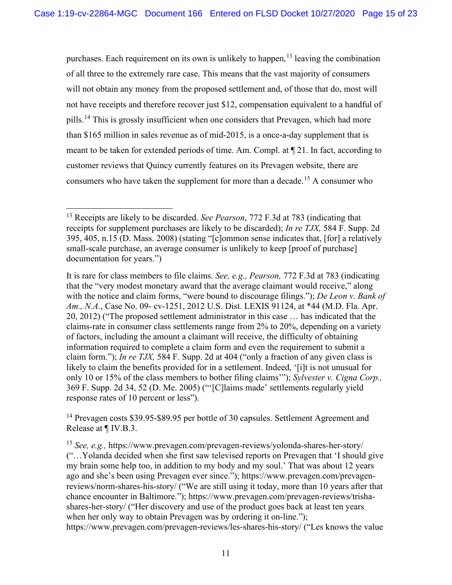purchases. Each requirement on its own is unlikely to happen,  $13$  leaving the combination of all three to the extremely rare case. This means that the vast majority of consumers will not obtain any money from the proposed settlement and, of those that do, most will not have receipts and therefore recover just \$12, compensation equivalent to a handful of pills.<sup>14</sup> This is grossly insufficient when one considers that Prevagen, which had more than \$165 million in sales revenue as of mid-2015, is a once-a-day supplement that is meant to be taken for extended periods of time. Am. Compl. at ¶ 21. In fact, according to customer reviews that Quincy currently features on its Prevagen website, there are consumers who have taken the supplement for more than a decade.15 A consumer who

<sup>14</sup> Prevagen costs \$39.95-\$89.95 per bottle of 30 capsules. Settlement Agreement and Release at ¶ IV.B.3.

<sup>15</sup> *See, e.g.,* https://www.prevagen.com/prevagen-reviews/yolonda-shares-her-story/ ("…Yolanda decided when she first saw televised reports on Prevagen that 'I should give my brain some help too, in addition to my body and my soul.' That was about 12 years ago and she's been using Prevagen ever since."); https://www.prevagen.com/prevagenreviews/norm-shares-his-story/ ("We are still using it today, more than 10 years after that chance encounter in Baltimore."); https://www.prevagen.com/prevagen-reviews/trishashares-her-story/ ("Her discovery and use of the product goes back at least ten years when her only way to obtain Prevagen was by ordering it on-line."); https://www.prevagen.com/prevagen-reviews/les-shares-his-story/ ("Les knows the value

<sup>13</sup> Receipts are likely to be discarded. *See Pearson*, 772 F.3d at 783 (indicating that receipts for supplement purchases are likely to be discarded); *In re TJX,* 584 F. Supp. 2d 395, 405, n.15 (D. Mass. 2008) (stating "[c]ommon sense indicates that, [for] a relatively small-scale purchase, an average consumer is unlikely to keep [proof of purchase] documentation for years.")

It is rare for class members to file claims. *See, e.g., Pearson,* 772 F.3d at 783 (indicating that the "very modest monetary award that the average claimant would receive," along with the notice and claim forms, "were bound to discourage filings."); *De Leon v. Bank of Am., N.A.*, Case No. 09- cv-1251, 2012 U.S. Dist. LEXIS 91124, at \*44 (M.D. Fla. Apr. 20, 2012) ("The proposed settlement administrator in this case … has indicated that the claims-rate in consumer class settlements range from 2% to 20%, depending on a variety of factors, including the amount a claimant will receive, the difficulty of obtaining information required to complete a claim form and even the requirement to submit a claim form."); *In re TJX,* 584 F. Supp. 2d at 404 ("only a fraction of any given class is likely to claim the benefits provided for in a settlement. Indeed, '[i]t is not unusual for only 10 or 15% of the class members to bother filing claims'"); *Sylvester v. Cigna Corp.,* 369 F. Supp. 2d 34, 52 (D. Me. 2005) ("'[C]laims made' settlements regularly yield response rates of 10 percent or less").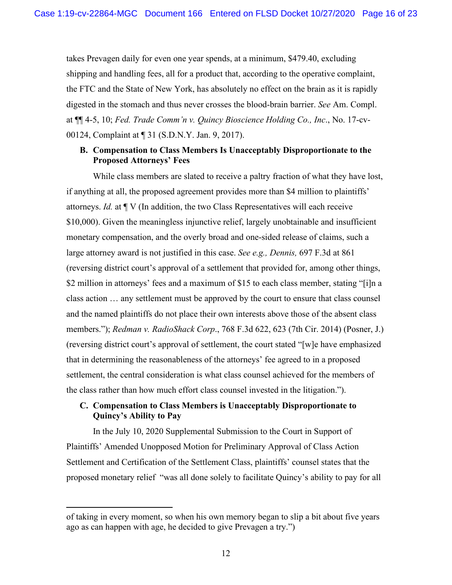takes Prevagen daily for even one year spends, at a minimum, \$479.40, excluding shipping and handling fees, all for a product that, according to the operative complaint, the FTC and the State of New York, has absolutely no effect on the brain as it is rapidly digested in the stomach and thus never crosses the blood-brain barrier. *See* Am. Compl. at ¶¶ 4-5, 10; *Fed. Trade Comm'n v. Quincy Bioscience Holding Co., Inc*., No. 17-cv-00124, Complaint at ¶ 31 (S.D.N.Y. Jan. 9, 2017).

### **B. Compensation to Class Members Is Unacceptably Disproportionate to the Proposed Attorneys' Fees**

While class members are slated to receive a paltry fraction of what they have lost, if anything at all, the proposed agreement provides more than \$4 million to plaintiffs' attorneys. *Id.* at ¶ V (In addition, the two Class Representatives will each receive \$10,000). Given the meaningless injunctive relief, largely unobtainable and insufficient monetary compensation, and the overly broad and one-sided release of claims, such a large attorney award is not justified in this case. *See e.g., Dennis,* 697 F.3d at 861 (reversing district court's approval of a settlement that provided for, among other things, \$2 million in attorneys' fees and a maximum of \$15 to each class member, stating "[i]n a class action … any settlement must be approved by the court to ensure that class counsel and the named plaintiffs do not place their own interests above those of the absent class members."); *Redman v. RadioShack Corp*., 768 F.3d 622, 623 (7th Cir. 2014) (Posner, J.) (reversing district court's approval of settlement, the court stated "[w]e have emphasized that in determining the reasonableness of the attorneys' fee agreed to in a proposed settlement, the central consideration is what class counsel achieved for the members of the class rather than how much effort class counsel invested in the litigation.").

# **C. Compensation to Class Members is Unacceptably Disproportionate to Quincy's Ability to Pay**

In the July 10, 2020 Supplemental Submission to the Court in Support of Plaintiffs' Amended Unopposed Motion for Preliminary Approval of Class Action Settlement and Certification of the Settlement Class, plaintiffs' counsel states that the proposed monetary relief "was all done solely to facilitate Quincy's ability to pay for all

of taking in every moment, so when his own memory began to slip a bit about five years ago as can happen with age, he decided to give Prevagen a try.")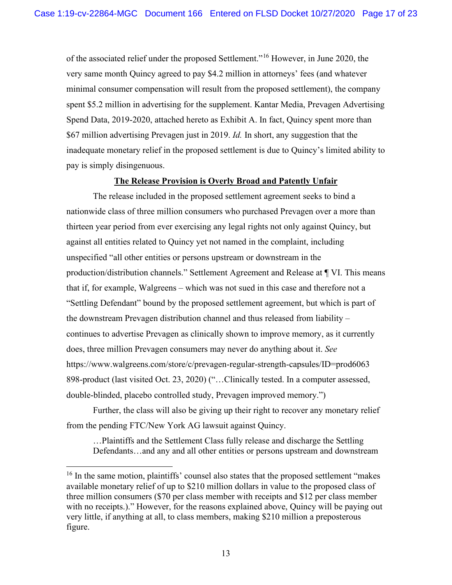of the associated relief under the proposed Settlement."16 However, in June 2020, the very same month Quincy agreed to pay \$4.2 million in attorneys' fees (and whatever minimal consumer compensation will result from the proposed settlement), the company spent \$5.2 million in advertising for the supplement. Kantar Media, Prevagen Advertising Spend Data, 2019-2020, attached hereto as Exhibit A. In fact, Quincy spent more than \$67 million advertising Prevagen just in 2019. *Id.* In short, any suggestion that the inadequate monetary relief in the proposed settlement is due to Quincy's limited ability to pay is simply disingenuous.

#### **The Release Provision is Overly Broad and Patently Unfair**

The release included in the proposed settlement agreement seeks to bind a nationwide class of three million consumers who purchased Prevagen over a more than thirteen year period from ever exercising any legal rights not only against Quincy, but against all entities related to Quincy yet not named in the complaint, including unspecified "all other entities or persons upstream or downstream in the production/distribution channels." Settlement Agreement and Release at ¶ VI. This means that if, for example, Walgreens – which was not sued in this case and therefore not a "Settling Defendant" bound by the proposed settlement agreement, but which is part of the downstream Prevagen distribution channel and thus released from liability – continues to advertise Prevagen as clinically shown to improve memory, as it currently does, three million Prevagen consumers may never do anything about it. *See*  https://www.walgreens.com/store/c/prevagen-regular-strength-capsules/ID=prod6063 898-product (last visited Oct. 23, 2020) ("…Clinically tested. In a computer assessed, double-blinded, placebo controlled study, Prevagen improved memory.")

Further, the class will also be giving up their right to recover any monetary relief from the pending FTC/New York AG lawsuit against Quincy.

…Plaintiffs and the Settlement Class fully release and discharge the Settling Defendants…and any and all other entities or persons upstream and downstream

<sup>&</sup>lt;sup>16</sup> In the same motion, plaintiffs' counsel also states that the proposed settlement "makes" available monetary relief of up to \$210 million dollars in value to the proposed class of three million consumers (\$70 per class member with receipts and \$12 per class member with no receipts.)." However, for the reasons explained above, Quincy will be paying out very little, if anything at all, to class members, making \$210 million a preposterous figure.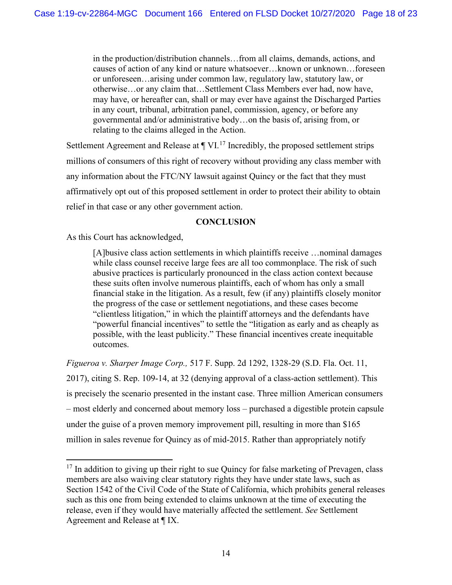in the production/distribution channels…from all claims, demands, actions, and causes of action of any kind or nature whatsoever…known or unknown…foreseen or unforeseen…arising under common law, regulatory law, statutory law, or otherwise…or any claim that…Settlement Class Members ever had, now have, may have, or hereafter can, shall or may ever have against the Discharged Parties in any court, tribunal, arbitration panel, commission, agency, or before any governmental and/or administrative body…on the basis of, arising from, or relating to the claims alleged in the Action.

Settlement Agreement and Release at  $\P$  VI.<sup>17</sup> Incredibly, the proposed settlement strips millions of consumers of this right of recovery without providing any class member with any information about the FTC/NY lawsuit against Quincy or the fact that they must affirmatively opt out of this proposed settlement in order to protect their ability to obtain relief in that case or any other government action.

#### **CONCLUSION**

As this Court has acknowledged,

[A]busive class action settlements in which plaintiffs receive …nominal damages while class counsel receive large fees are all too commonplace. The risk of such abusive practices is particularly pronounced in the class action context because these suits often involve numerous plaintiffs, each of whom has only a small financial stake in the litigation. As a result, few (if any) plaintiffs closely monitor the progress of the case or settlement negotiations, and these cases become "clientless litigation," in which the plaintiff attorneys and the defendants have "powerful financial incentives" to settle the "litigation as early and as cheaply as possible, with the least publicity." These financial incentives create inequitable outcomes.

*Figueroa v. Sharper Image Corp.,* 517 F. Supp. 2d 1292, 1328-29 (S.D. Fla. Oct. 11, 2017), citing S. Rep. 109-14, at 32 (denying approval of a class-action settlement). This is precisely the scenario presented in the instant case. Three million American consumers – most elderly and concerned about memory loss – purchased a digestible protein capsule under the guise of a proven memory improvement pill, resulting in more than \$165 million in sales revenue for Quincy as of mid-2015. Rather than appropriately notify

 $17$  In addition to giving up their right to sue Quincy for false marketing of Prevagen, class members are also waiving clear statutory rights they have under state laws, such as Section 1542 of the Civil Code of the State of California, which prohibits general releases such as this one from being extended to claims unknown at the time of executing the release, even if they would have materially affected the settlement. *See* Settlement Agreement and Release at ¶ IX.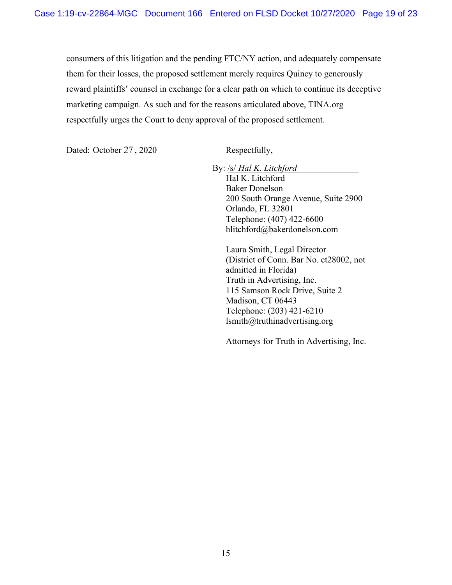consumers of this litigation and the pending FTC/NY action, and adequately compensate them for their losses, the proposed settlement merely requires Quincy to generously reward plaintiffs' counsel in exchange for a clear path on which to continue its deceptive marketing campaign. As such and for the reasons articulated above, TINA.org respectfully urges the Court to deny approval of the proposed settlement.

Dated: October 27, 2020 Respectfully,

By: /s/ *Hal K. Litchford*

Hal K. Litchford Baker Donelson 200 South Orange Avenue, Suite 2900 Orlando, FL 32801 Telephone: (407) 422-6600 hlitchford@bakerdonelson.com

Laura Smith, Legal Director (District of Conn. Bar No. ct28002, not admitted in Florida) Truth in Advertising, Inc. 115 Samson Rock Drive, Suite 2 Madison, CT 06443 Telephone: (203) 421-6210 lsmith@truthinadvertising.org

Attorneys for Truth in Advertising, Inc.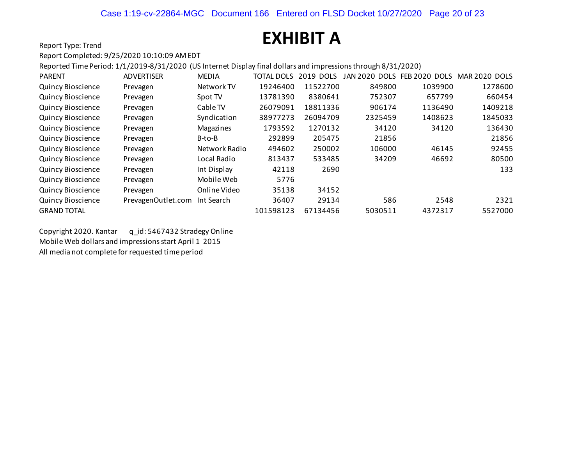# **EXHIBIT A**

Report Type: Trend

#### Report Completed: 9/25/2020 10:10:09 AM EDT

Reported Time Period: 1/1/2019-8/31/2020 (US Internet Display final dollars and impressions through 8/31/2020)

| <b>PARENT</b>            | <b>ADVERTISER</b>  | <b>MEDIA</b>     | <b>TOTAL DOLS</b> | 2019 DOLS | JAN 2020<br><b>DOLS</b> | FEB 2020 DOLS | <b>MAR 2020 DOLS</b> |
|--------------------------|--------------------|------------------|-------------------|-----------|-------------------------|---------------|----------------------|
| Quincy Bioscience        | Prevagen           | Network TV       | 19246400          | 11522700  | 849800                  | 1039900       | 1278600              |
| <b>Quincy Bioscience</b> | Prevagen           | Spot TV          | 13781390          | 8380641   | 752307                  | 657799        | 660454               |
| <b>Quincy Bioscience</b> | Prevagen           | Cable TV         | 26079091          | 18811336  | 906174                  | 1136490       | 1409218              |
| <b>Quincy Bioscience</b> | Prevagen           | Syndication      | 38977273          | 26094709  | 2325459                 | 1408623       | 1845033              |
| <b>Quincy Bioscience</b> | Prevagen           | <b>Magazines</b> | 1793592           | 1270132   | 34120                   | 34120         | 136430               |
| <b>Quincy Bioscience</b> | Prevagen           | B-to-B           | 292899            | 205475    | 21856                   |               | 21856                |
| <b>Quincy Bioscience</b> | Prevagen           | Network Radio    | 494602            | 250002    | 106000                  | 46145         | 92455                |
| <b>Quincy Bioscience</b> | Prevagen           | Local Radio      | 813437            | 533485    | 34209                   | 46692         | 80500                |
| <b>Quincy Bioscience</b> | Prevagen           | Int Display      | 42118             | 2690      |                         |               | 133                  |
| <b>Quincy Bioscience</b> | Prevagen           | Mobile Web       | 5776              |           |                         |               |                      |
| <b>Quincy Bioscience</b> | Prevagen           | Online Video     | 35138             | 34152     |                         |               |                      |
| <b>Quincy Bioscience</b> | PrevagenOutlet.com | Int Search       | 36407             | 29134     | 586                     | 2548          | 2321                 |
| <b>GRAND TOTAL</b>       |                    |                  | 101598123         | 67134456  | 5030511                 | 4372317       | 5527000              |

Copyright 2020. Kantar q\_id: 5467432 Stradegy Online Mobile Web dollars and impressions start April 1 2015 All media not complete for requested time period